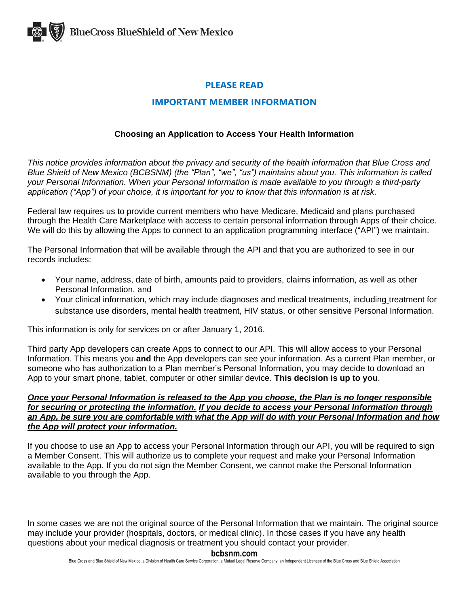

# **PLEASE READ**

# **IMPORTANT MEMBER INFORMATION**

# **Choosing an Application to Access Your Health Information**

*This notice provides information about the privacy and security of the health information that Blue Cross and Blue Shield of New Mexico (BCBSNM) (the "Plan", "we", "us") maintains about you. This information is called your Personal Information. When your Personal Information is made available to you through a third-party application ("App") of your choice, it is important for you to know that this information is at risk.*

Federal law requires us to provide current members who have Medicare, Medicaid and plans purchased through the Health Care Marketplace with access to certain personal information through Apps of their choice. We will do this by allowing the Apps to connect to an application programming interface ("API") we maintain.

The Personal Information that will be available through the API and that you are authorized to see in our records includes:

- Your name, address, date of birth, amounts paid to providers, claims information, as well as other Personal Information, and
- Your clinical information, which may include diagnoses and medical treatments, including treatment for substance use disorders, mental health treatment, HIV status, or other sensitive Personal Information.

This information is only for services on or after January 1, 2016.

Third party App developers can create Apps to connect to our API. This will allow access to your Personal Information. This means you **and** the App developers can see your information. As a current Plan member, or someone who has authorization to a Plan member's Personal Information, you may decide to download an App to your smart phone, tablet, computer or other similar device. **This decision is up to you**.

### *Once your Personal Information is released to the App you choose, the Plan is no longer responsible for securing or protecting the information. If you decide to access your Personal Information through an App, be sure you are comfortable with what the App will do with your Personal Information and how the App will protect your information.*

If you choose to use an App to access your Personal Information through our API, you will be required to sign a Member Consent. This will authorize us to complete your request and make your Personal Information available to the App. If you do not sign the Member Consent, we cannot make the Personal Information available to you through the App.

In some cases we are not the original source of the Personal Information that we maintain. The original source may include your provider (hospitals, doctors, or medical clinic). In those cases if you have any health questions about your medical diagnosis or treatment you should contact your provider.

#### **bcbsnm.com**

Blue Cross and Blue Shield of New Mexico, a Division of Health Care Service Corporation, a Mutual Legal Reserve Company, an Independent Licensee of the Blue Cross and Blue Shield Association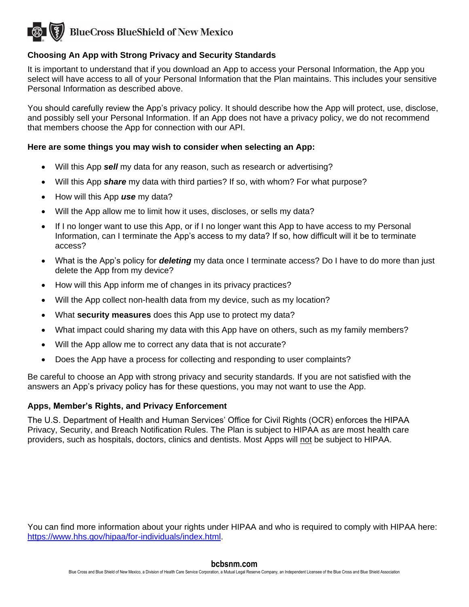

# **Choosing An App with Strong Privacy and Security Standards**

It is important to understand that if you download an App to access your Personal Information, the App you select will have access to all of your Personal Information that the Plan maintains. This includes your sensitive Personal Information as described above.

You should carefully review the App's privacy policy. It should describe how the App will protect, use, disclose, and possibly sell your Personal Information. If an App does not have a privacy policy, we do not recommend that members choose the App for connection with our API.

## **Here are some things you may wish to consider when selecting an App:**

- Will this App *sell* my data for any reason, such as research or advertising?
- Will this App *share* my data with third parties? If so, with whom? For what purpose?
- How will this App *use* my data?
- Will the App allow me to limit how it uses, discloses, or sells my data?
- If I no longer want to use this App, or if I no longer want this App to have access to my Personal Information, can I terminate the App's access to my data? If so, how difficult will it be to terminate access?
- What is the App's policy for *deleting* my data once I terminate access? Do I have to do more than just delete the App from my device?
- How will this App inform me of changes in its privacy practices?
- Will the App collect non-health data from my device, such as my location?
- What **security measures** does this App use to protect my data?
- What impact could sharing my data with this App have on others, such as my family members?
- Will the App allow me to correct any data that is not accurate?
- Does the App have a process for collecting and responding to user complaints?

Be careful to choose an App with strong privacy and security standards. If you are not satisfied with the answers an App's privacy policy has for these questions, you may not want to use the App.

#### **Apps, Member's Rights, and Privacy Enforcement**

The U.S. Department of Health and Human Services' Office for Civil Rights (OCR) enforces the HIPAA Privacy, Security, and Breach Notification Rules. The Plan is subject to HIPAA as are most health care providers, such as hospitals, doctors, clinics and dentists. Most Apps will not be subject to HIPAA.

You can find more information about your rights under HIPAA and who is required to comply with HIPAA here: [https://www.hhs.gov/hipaa/for-individuals/index.html.](https://www.hhs.gov/hipaa/for-individuals/index.html)

#### **bcbsnm.com**